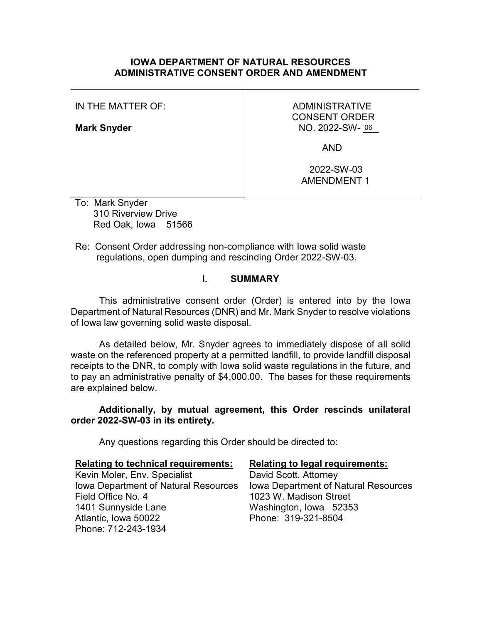### IOWA DEPARTMENT OF NATURAL RESOURCES ADMINISTRATIVE CONSENT ORDER AND AMENDMENT

IN THE MATTER OF:

Mark Snyder

# ADMINISTRATIVE CONSENT ORDER NO. 2022-SW-06

AND

 2022-SW-03 AMENDMENT 1

To: Mark Snyder 310 Riverview Drive Red Oak, Iowa 51566

Re: Consent Order addressing non-compliance with Iowa solid waste regulations, open dumping and rescinding Order 2022-SW-03.

# I. SUMMARY

This administrative consent order (Order) is entered into by the Iowa Department of Natural Resources (DNR) and Mr. Mark Snyder to resolve violations of Iowa law governing solid waste disposal.

As detailed below, Mr. Snyder agrees to immediately dispose of all solid waste on the referenced property at a permitted landfill, to provide landfill disposal receipts to the DNR, to comply with Iowa solid waste regulations in the future, and to pay an administrative penalty of \$4,000.00. The bases for these requirements are explained below.

Additionally, by mutual agreement, this Order rescinds unilateral order 2022-SW-03 in its entirety.

Any questions regarding this Order should be directed to:

| <b>Relating to technical requirements:</b>  | <b>Relating to legal requirements:</b> |
|---------------------------------------------|----------------------------------------|
| Kevin Moler, Env. Specialist                | David Scott, Attorney                  |
| <b>Iowa Department of Natural Resources</b> | Iowa Department of Natural Resources   |
| Field Office No. 4                          | 1023 W. Madison Street                 |
| 1401 Sunnyside Lane                         | Washington, Iowa 52353                 |
| Atlantic, Iowa 50022                        | Phone: 319-321-8504                    |
| Phone: 712-243-1934                         |                                        |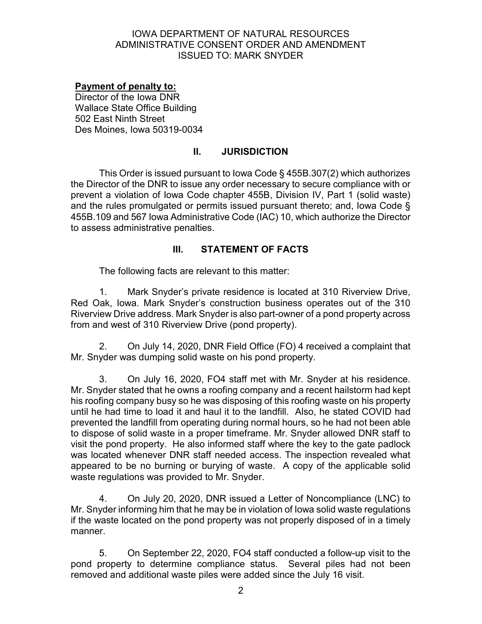## Payment of penalty to:

Director of the Iowa DNR Wallace State Office Building 502 East Ninth Street Des Moines, Iowa 50319-0034

# II. JURISDICTION

This Order is issued pursuant to Iowa Code § 455B.307(2) which authorizes the Director of the DNR to issue any order necessary to secure compliance with or prevent a violation of Iowa Code chapter 455B, Division IV, Part 1 (solid waste) and the rules promulgated or permits issued pursuant thereto; and, Iowa Code § 455B.109 and 567 Iowa Administrative Code (IAC) 10, which authorize the Director to assess administrative penalties.

## III. STATEMENT OF FACTS

The following facts are relevant to this matter:

1. Mark Snyder's private residence is located at 310 Riverview Drive, Red Oak, Iowa. Mark Snyder's construction business operates out of the 310 Riverview Drive address. Mark Snyder is also part-owner of a pond property across from and west of 310 Riverview Drive (pond property).

2. On July 14, 2020, DNR Field Office (FO) 4 received a complaint that Mr. Snyder was dumping solid waste on his pond property.

3. On July 16, 2020, FO4 staff met with Mr. Snyder at his residence. Mr. Snyder stated that he owns a roofing company and a recent hailstorm had kept his roofing company busy so he was disposing of this roofing waste on his property until he had time to load it and haul it to the landfill. Also, he stated COVID had prevented the landfill from operating during normal hours, so he had not been able to dispose of solid waste in a proper timeframe. Mr. Snyder allowed DNR staff to visit the pond property. He also informed staff where the key to the gate padlock was located whenever DNR staff needed access. The inspection revealed what appeared to be no burning or burying of waste. A copy of the applicable solid waste regulations was provided to Mr. Snyder.

4. On July 20, 2020, DNR issued a Letter of Noncompliance (LNC) to Mr. Snyder informing him that he may be in violation of Iowa solid waste regulations if the waste located on the pond property was not properly disposed of in a timely manner.

5. On September 22, 2020, FO4 staff conducted a follow-up visit to the pond property to determine compliance status. Several piles had not been removed and additional waste piles were added since the July 16 visit.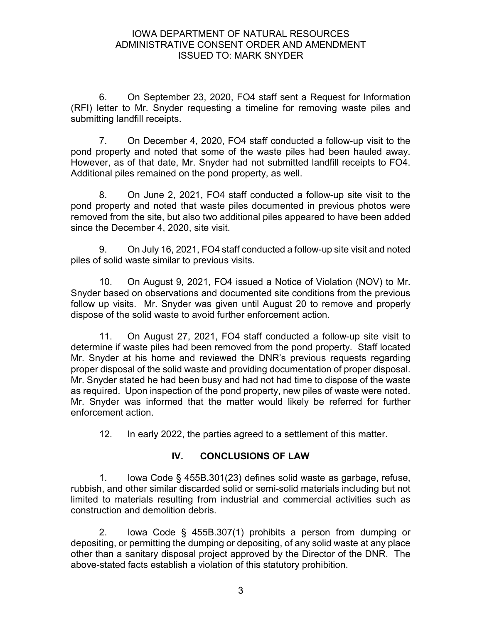6. On September 23, 2020, FO4 staff sent a Request for Information (RFI) letter to Mr. Snyder requesting a timeline for removing waste piles and submitting landfill receipts.

7. On December 4, 2020, FO4 staff conducted a follow-up visit to the pond property and noted that some of the waste piles had been hauled away. However, as of that date, Mr. Snyder had not submitted landfill receipts to FO4. Additional piles remained on the pond property, as well.

8. On June 2, 2021, FO4 staff conducted a follow-up site visit to the pond property and noted that waste piles documented in previous photos were removed from the site, but also two additional piles appeared to have been added since the December 4, 2020, site visit.

9. On July 16, 2021, FO4 staff conducted a follow-up site visit and noted piles of solid waste similar to previous visits.

10. On August 9, 2021, FO4 issued a Notice of Violation (NOV) to Mr. Snyder based on observations and documented site conditions from the previous follow up visits. Mr. Snyder was given until August 20 to remove and properly dispose of the solid waste to avoid further enforcement action.

11. On August 27, 2021, FO4 staff conducted a follow-up site visit to determine if waste piles had been removed from the pond property. Staff located Mr. Snyder at his home and reviewed the DNR's previous requests regarding proper disposal of the solid waste and providing documentation of proper disposal. Mr. Snyder stated he had been busy and had not had time to dispose of the waste as required. Upon inspection of the pond property, new piles of waste were noted. Mr. Snyder was informed that the matter would likely be referred for further enforcement action.

12. In early 2022, the parties agreed to a settlement of this matter.

# IV. CONCLUSIONS OF LAW

1. Iowa Code § 455B.301(23) defines solid waste as garbage, refuse, rubbish, and other similar discarded solid or semi-solid materials including but not limited to materials resulting from industrial and commercial activities such as construction and demolition debris.

2. Iowa Code § 455B.307(1) prohibits a person from dumping or depositing, or permitting the dumping or depositing, of any solid waste at any place other than a sanitary disposal project approved by the Director of the DNR. The above-stated facts establish a violation of this statutory prohibition.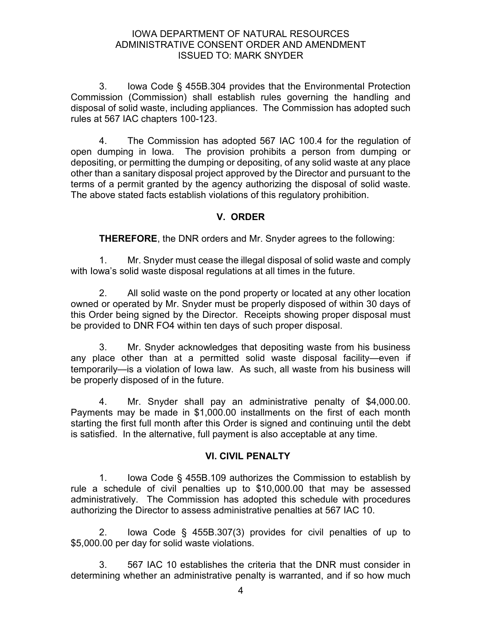3. Iowa Code § 455B.304 provides that the Environmental Protection Commission (Commission) shall establish rules governing the handling and disposal of solid waste, including appliances. The Commission has adopted such rules at 567 IAC chapters 100-123.

4. The Commission has adopted 567 IAC 100.4 for the regulation of open dumping in Iowa. The provision prohibits a person from dumping or depositing, or permitting the dumping or depositing, of any solid waste at any place other than a sanitary disposal project approved by the Director and pursuant to the terms of a permit granted by the agency authorizing the disposal of solid waste. The above stated facts establish violations of this regulatory prohibition.

# V. ORDER

THEREFORE, the DNR orders and Mr. Snyder agrees to the following:

1. Mr. Snyder must cease the illegal disposal of solid waste and comply with Iowa's solid waste disposal regulations at all times in the future.

2. All solid waste on the pond property or located at any other location owned or operated by Mr. Snyder must be properly disposed of within 30 days of this Order being signed by the Director. Receipts showing proper disposal must be provided to DNR FO4 within ten days of such proper disposal.

3. Mr. Snyder acknowledges that depositing waste from his business any place other than at a permitted solid waste disposal facility—even if temporarily—is a violation of Iowa law. As such, all waste from his business will be properly disposed of in the future.

4. Mr. Snyder shall pay an administrative penalty of \$4,000.00. Payments may be made in \$1,000.00 installments on the first of each month starting the first full month after this Order is signed and continuing until the debt is satisfied. In the alternative, full payment is also acceptable at any time.

## VI. CIVIL PENALTY

1. Iowa Code § 455B.109 authorizes the Commission to establish by rule a schedule of civil penalties up to \$10,000.00 that may be assessed administratively. The Commission has adopted this schedule with procedures authorizing the Director to assess administrative penalties at 567 IAC 10.

2. Iowa Code § 455B.307(3) provides for civil penalties of up to \$5,000.00 per day for solid waste violations.

3. 567 IAC 10 establishes the criteria that the DNR must consider in determining whether an administrative penalty is warranted, and if so how much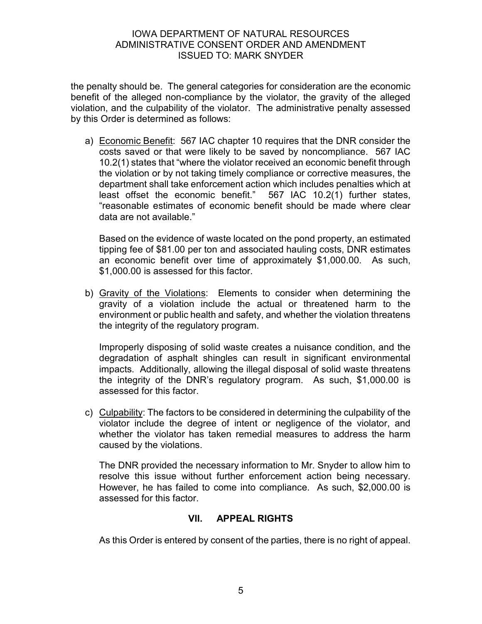the penalty should be. The general categories for consideration are the economic benefit of the alleged non-compliance by the violator, the gravity of the alleged violation, and the culpability of the violator. The administrative penalty assessed by this Order is determined as follows:

a) Economic Benefit: 567 IAC chapter 10 requires that the DNR consider the costs saved or that were likely to be saved by noncompliance. 567 IAC 10.2(1) states that "where the violator received an economic benefit through the violation or by not taking timely compliance or corrective measures, the department shall take enforcement action which includes penalties which at least offset the economic benefit." 567 IAC 10.2(1) further states, "reasonable estimates of economic benefit should be made where clear data are not available."

Based on the evidence of waste located on the pond property, an estimated tipping fee of \$81.00 per ton and associated hauling costs, DNR estimates an economic benefit over time of approximately \$1,000.00. As such, \$1,000.00 is assessed for this factor.

b) Gravity of the Violations: Elements to consider when determining the gravity of a violation include the actual or threatened harm to the environment or public health and safety, and whether the violation threatens the integrity of the regulatory program.

Improperly disposing of solid waste creates a nuisance condition, and the degradation of asphalt shingles can result in significant environmental impacts. Additionally, allowing the illegal disposal of solid waste threatens the integrity of the DNR's regulatory program. As such, \$1,000.00 is assessed for this factor.

c) Culpability: The factors to be considered in determining the culpability of the violator include the degree of intent or negligence of the violator, and whether the violator has taken remedial measures to address the harm caused by the violations.

The DNR provided the necessary information to Mr. Snyder to allow him to resolve this issue without further enforcement action being necessary. However, he has failed to come into compliance. As such, \$2,000.00 is assessed for this factor.

# VII. APPEAL RIGHTS

As this Order is entered by consent of the parties, there is no right of appeal.